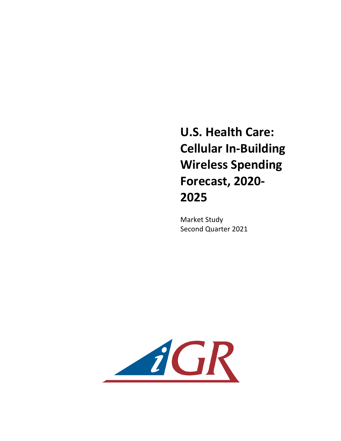**U.S. Health Care: Cellular In-Building Wireless Spending Forecast, 2020- 2025**

Market Study Second Quarter 2021

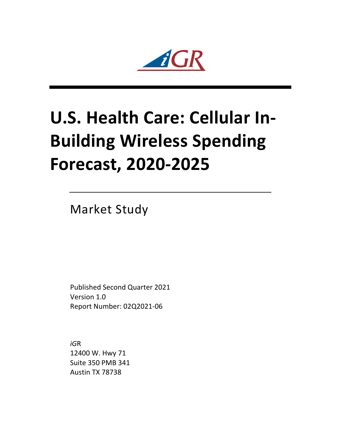2  $i\mathcal{R}$ 

## **U.S. Health Care: Cellular In-Building Wireless Spending Forecast, 2020-2025**

Market Study

Published Second Quarter 2021 Version 1.0 Report Number: 02Q2021-06

*iG*R 12400 W. Hwy 71 Suite 350 PMB 341 Austin TX 78738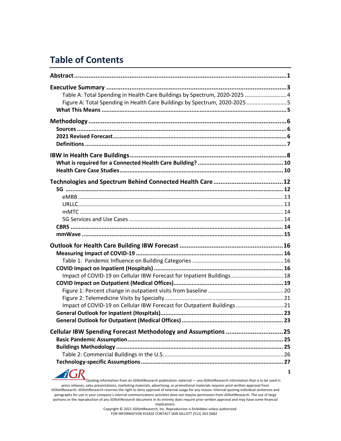## **Table of Contents**

**AGR** 

| Table A: Total Spending in Health Care Buildings by Spectrum, 2020-2025 4  |  |
|----------------------------------------------------------------------------|--|
| Figure A: Total Spending in Health Care Buildings by Spectrum, 2020-2025 5 |  |
|                                                                            |  |
|                                                                            |  |
|                                                                            |  |
|                                                                            |  |
|                                                                            |  |
|                                                                            |  |
|                                                                            |  |
|                                                                            |  |
|                                                                            |  |
|                                                                            |  |
|                                                                            |  |
|                                                                            |  |
|                                                                            |  |
|                                                                            |  |
|                                                                            |  |
|                                                                            |  |
|                                                                            |  |
|                                                                            |  |
|                                                                            |  |
|                                                                            |  |
| Impact of COVID-19 on Cellular IBW Forecast for Inpatient Buildings 18     |  |
|                                                                            |  |
|                                                                            |  |
|                                                                            |  |
| Impact of COVID-19 on Cellular IBW Forecast for Outpatient Buildings21     |  |
|                                                                            |  |
|                                                                            |  |
| Cellular IBW Spending Forecast Methodology and Assumptions 25              |  |
|                                                                            |  |
|                                                                            |  |
|                                                                            |  |
|                                                                            |  |

Quoting information from an *iG*illottResearch publication: external — any *iG*illottResearch information that is to be used in press releases, sales presentations, marketing materials, advertising, or promotional materials requires prior written approval from *iG*illottResearch. *iG*illottResearch reserves the right to deny approval of external usage for any reason. Internal-quoting individual sentences and paragraphs for use in your company's internal communications activities does not require permission from *iG*illottResearch. The use of large portions or the reproduction of any *iG*illottResearch document in its entirety does require prior written approval and may have some financial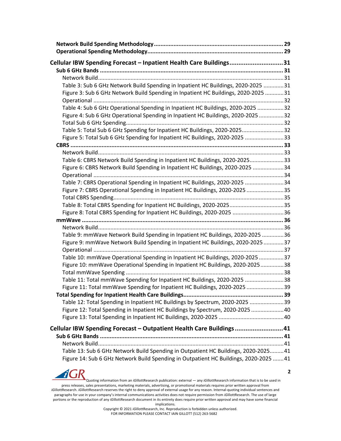| Cellular IBW Spending Forecast - Inpatient Health Care Buildings31                                                                                                          |  |
|-----------------------------------------------------------------------------------------------------------------------------------------------------------------------------|--|
|                                                                                                                                                                             |  |
|                                                                                                                                                                             |  |
| Table 3: Sub 6 GHz Network Build Spending in Inpatient HC Buildings, 2020-2025 31                                                                                           |  |
| Figure 3: Sub 6 GHz Network Build Spending in Inpatient HC Buildings, 2020-2025 31                                                                                          |  |
|                                                                                                                                                                             |  |
| Table 4: Sub 6 GHz Operational Spending in Inpatient HC Buildings, 2020-2025 32                                                                                             |  |
| Figure 4: Sub 6 GHz Operational Spending in Inpatient HC Buildings, 2020-2025 32                                                                                            |  |
|                                                                                                                                                                             |  |
| Table 5: Total Sub 6 GHz Spending for Inpatient HC Buildings, 2020-202532                                                                                                   |  |
| Figure 5: Total Sub 6 GHz Spending for Inpatient HC Buildings, 2020-2025 33                                                                                                 |  |
|                                                                                                                                                                             |  |
| Table 6: CBRS Network Build Spending in Inpatient HC Buildings, 2020-202533                                                                                                 |  |
| Figure 6: CBRS Network Build Spending in Inpatient HC Buildings, 2020-2025 34                                                                                               |  |
|                                                                                                                                                                             |  |
| Table 7: CBRS Operational Spending in Inpatient HC Buildings, 2020-2025 34                                                                                                  |  |
| Figure 7: CBRS Operational Spending in Inpatient HC Buildings, 2020-2025 35                                                                                                 |  |
|                                                                                                                                                                             |  |
|                                                                                                                                                                             |  |
| Figure 8: Total CBRS Spending for Inpatient HC Buildings, 2020-2025 36                                                                                                      |  |
|                                                                                                                                                                             |  |
|                                                                                                                                                                             |  |
| Table 9: mmWave Network Build Spending in Inpatient HC Buildings, 2020-2025 36<br>Figure 9: mmWave Network Build Spending in Inpatient HC Buildings, 2020-2025 37           |  |
|                                                                                                                                                                             |  |
| Table 10: mmWave Operational Spending in Inpatient HC Buildings, 2020-2025 37                                                                                               |  |
| Figure 10: mmWave Operational Spending in Inpatient HC Buildings, 2020-202538                                                                                               |  |
|                                                                                                                                                                             |  |
| Table 11: Total mmWave Spending for Inpatient HC Buildings, 2020-2025 38                                                                                                    |  |
| Figure 11: Total mmWave Spending for Inpatient HC Buildings, 2020-2025 39                                                                                                   |  |
|                                                                                                                                                                             |  |
| Table 12: Total Spending in Inpatient HC Buildings by Spectrum, 2020-2025 39                                                                                                |  |
| Figure 12: Total Spending in Inpatient HC Buildings by Spectrum, 2020-2025 40                                                                                               |  |
|                                                                                                                                                                             |  |
| Cellular IBW Spending Forecast - Outpatient Health Care Buildings41                                                                                                         |  |
|                                                                                                                                                                             |  |
|                                                                                                                                                                             |  |
| Table 13: Sub 6 GHz Network Build Spending in Outpatient HC Buildings, 2020-2025 41<br>Figure 14: Sub 6 GHz Network Build Spending in Outpatient HC Buildings, 2020-2025 41 |  |

**AGR** Quoting information from an *iG*illottResearch publication: external — any *iG*illottResearch information that is to be used in press releases, sales presentations, marketing materials, advertising, or promotional materials requires prior written approval from *iG*illottResearch. *iG*illottResearch reserves the right to deny approval of external usage for any reason. Internal-quoting individual sentences and paragraphs for use in your company's internal communications activities does not require permission from *iG*illottResearch. The use of large portions or the reproduction of any *iG*illottResearch document in its entirety does require prior written approval and may have some financial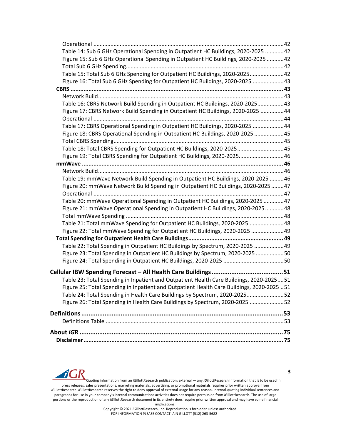| Table 14: Sub 6 GHz Operational Spending in Outpatient HC Buildings, 2020-2025  42        |  |
|-------------------------------------------------------------------------------------------|--|
| Figure 15: Sub 6 GHz Operational Spending in Outpatient HC Buildings, 2020-2025 42        |  |
|                                                                                           |  |
| Table 15: Total Sub 6 GHz Spending for Outpatient HC Buildings, 2020-202542               |  |
| Figure 16: Total Sub 6 GHz Spending for Outpatient HC Buildings, 2020-2025 43             |  |
|                                                                                           |  |
|                                                                                           |  |
| Table 16: CBRS Network Build Spending in Outpatient HC Buildings, 2020-202543             |  |
| Figure 17: CBRS Network Build Spending in Outpatient HC Buildings, 2020-2025 44           |  |
|                                                                                           |  |
| Table 17: CBRS Operational Spending in Outpatient HC Buildings, 2020-2025 44              |  |
| Figure 18: CBRS Operational Spending in Outpatient HC Buildings, 2020-2025 45             |  |
|                                                                                           |  |
| Table 18: Total CBRS Spending for Outpatient HC Buildings, 2020-202545                    |  |
| Figure 19: Total CBRS Spending for Outpatient HC Buildings, 2020-202546                   |  |
|                                                                                           |  |
|                                                                                           |  |
| Table 19: mmWave Network Build Spending in Outpatient HC Buildings, 2020-2025  46         |  |
| Figure 20: mmWave Network Build Spending in Outpatient HC Buildings, 2020-2025 47         |  |
|                                                                                           |  |
| Table 20: mmWave Operational Spending in Outpatient HC Buildings, 2020-2025 47            |  |
| Figure 21: mmWave Operational Spending in Outpatient HC Buildings, 2020-202548            |  |
|                                                                                           |  |
| Table 21: Total mmWave Spending for Outpatient HC Buildings, 2020-2025 48                 |  |
| Figure 22: Total mmWave Spending for Outpatient HC Buildings, 2020-2025  49               |  |
|                                                                                           |  |
| Table 22: Total Spending in Outpatient HC Buildings by Spectrum, 2020-2025  49            |  |
| Figure 23: Total Spending in Outpatient HC Buildings by Spectrum, 2020-2025 50            |  |
|                                                                                           |  |
|                                                                                           |  |
| Table 23: Total Spending in Inpatient and Outpatient Health Care Buildings, 2020-202551   |  |
| Figure 25: Total Spending in Inpatient and Outpatient Health Care Buildings, 2020-2025 51 |  |
| Table 24: Total Spending in Health Care Buildings by Spectrum, 2020-202552                |  |
| Figure 26: Total Spending in Health Care Buildings by Spectrum, 2020-2025 52              |  |
|                                                                                           |  |
|                                                                                           |  |
|                                                                                           |  |
|                                                                                           |  |
|                                                                                           |  |



Quoting information from an *iG*illottResearch publication: external — any *iG*illottResearch information that is to be used in press releases, sales presentations, marketing materials, advertising, or promotional materials requires prior written approval from *iG*illottResearch. *iG*illottResearch reserves the right to deny approval of external usage for any reason. Internal-quoting individual sentences and paragraphs for use in your company's internal communications activities does not require permission from *iG*illottResearch. The use of large portions or the reproduction of any *iG*illottResearch document in its entirety does require prior written approval and may have some financial implications.

Copyright © 2021 *iG*illottResearch, Inc. Reproduction is forbidden unless authorized. FOR INFORMATION PLEASE CONTACT IAIN GILLOTT (512) 263-5682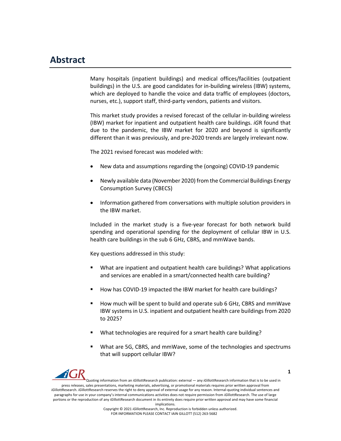## **Abstract**

Many hospitals (inpatient buildings) and medical offices/facilities (outpatient buildings) in the U.S. are good candidates for in-building wireless (IBW) systems, which are deployed to handle the voice and data traffic of employees (doctors, nurses, etc.), support staff, third-party vendors, patients and visitors.

This market study provides a revised forecast of the cellular in-building wireless (IBW) market for inpatient and outpatient health care buildings. *iG*R found that due to the pandemic, the IBW market for 2020 and beyond is significantly different than it was previously, and pre-2020 trends are largely irrelevant now.

The 2021 revised forecast was modeled with:

- New data and assumptions regarding the (ongoing) COVID-19 pandemic
- Newly available data (November 2020) from the Commercial Buildings Energy Consumption Survey (CBECS)
- Information gathered from conversations with multiple solution providers in the IBW market.

Included in the market study is a five-year forecast for both network build spending and operational spending for the deployment of cellular IBW in U.S. health care buildings in the sub 6 GHz, CBRS, and mmWave bands.

Key questions addressed in this study:

- What are inpatient and outpatient health care buildings? What applications and services are enabled in a smart/connected health care building?
- § How has COVID-19 impacted the IBW market for health care buildings?
- § How much will be spent to build and operate sub 6 GHz, CBRS and mmWave IBW systems in U.S. inpatient and outpatient health care buildings from 2020 to 2025?
- § What technologies are required for a smart health care building?
- § What are 5G, CBRS, and mmWave, some of the technologies and spectrums that will support cellular IBW?